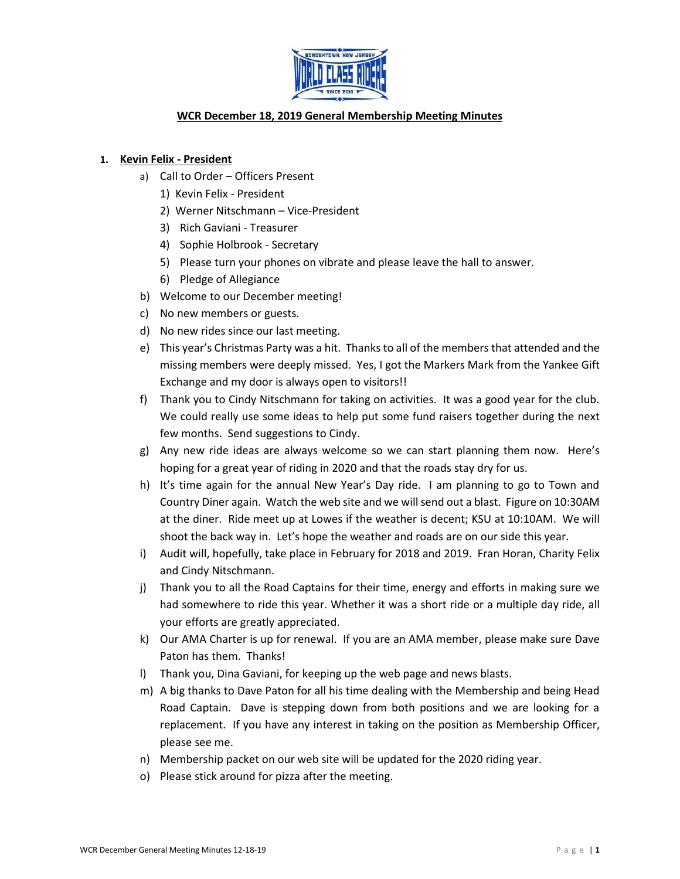

# **WCR December 18, 2019 General Membership Meeting Minutes**

### **1. Kevin Felix - President**

- a) Call to Order Officers Present
	- 1) Kevin Felix President
	- 2) Werner Nitschmann Vice-President
	- 3) Rich Gaviani Treasurer
	- 4) Sophie Holbrook Secretary
	- 5) Please turn your phones on vibrate and please leave the hall to answer.
	- 6) Pledge of Allegiance
- b) Welcome to our December meeting!
- c) No new members or guests.
- d) No new rides since our last meeting.
- e) This year's Christmas Party was a hit. Thanks to all of the members that attended and the missing members were deeply missed. Yes, I got the Markers Mark from the Yankee Gift Exchange and my door is always open to visitors!!
- f) Thank you to Cindy Nitschmann for taking on activities. It was a good year for the club. We could really use some ideas to help put some fund raisers together during the next few months. Send suggestions to Cindy.
- g) Any new ride ideas are always welcome so we can start planning them now. Here's hoping for a great year of riding in 2020 and that the roads stay dry for us.
- h) It's time again for the annual New Year's Day ride. I am planning to go to Town and Country Diner again. Watch the web site and we will send out a blast. Figure on 10:30AM at the diner. Ride meet up at Lowes if the weather is decent; KSU at 10:10AM. We will shoot the back way in. Let's hope the weather and roads are on our side this year.
- i) Audit will, hopefully, take place in February for 2018 and 2019. Fran Horan, Charity Felix and Cindy Nitschmann.
- j) Thank you to all the Road Captains for their time, energy and efforts in making sure we had somewhere to ride this year. Whether it was a short ride or a multiple day ride, all your efforts are greatly appreciated.
- k) Our AMA Charter is up for renewal. If you are an AMA member, please make sure Dave Paton has them. Thanks!
- l) Thank you, Dina Gaviani, for keeping up the web page and news blasts.
- m) A big thanks to Dave Paton for all his time dealing with the Membership and being Head Road Captain. Dave is stepping down from both positions and we are looking for a replacement. If you have any interest in taking on the position as Membership Officer, please see me.
- n) Membership packet on our web site will be updated for the 2020 riding year.
- o) Please stick around for pizza after the meeting.